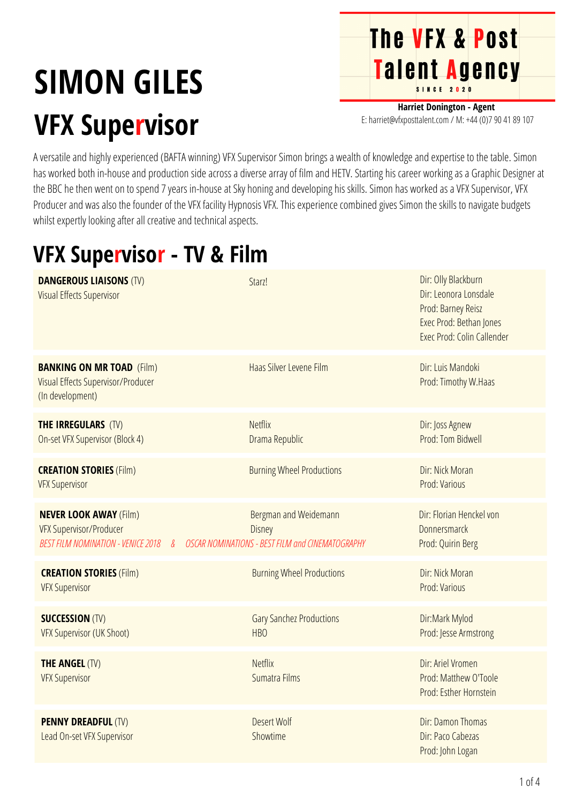## **SIMON GILES VFX Supervisor**

**Harriet Donington - Agent** E: harriet@vfxposttalent.com / M:+44(0)7904189107

**The VFX & Post** 

Talent Agency

A versatile and highly experienced (BAFTA winning) VFX Supervisor Simon brings a wealth of knowledge and expertise to the table. Simon has worked both in-house and production side across a diverse array of film and HETV. Starting his career working as a Graphic Designer at the BBC he then went on to spend 7 years in-house at Sky honing and developing his skills. Simon has worked as a VFX Supervisor, VFX Producer and was also the founder of the VFX facility Hypnosis VFX. This experience combined gives Simon the skills to navigate budgets whilst expertly looking after all creative and technical aspects.

## **VFX Supervisor - TV & Film**

| <b>DANGEROUS LIAISONS (TV)</b><br><b>Visual Effects Supervisor</b>                                      | Starz!                                                                              | Dir: Olly Blackburn<br>Dir: Leonora Lonsdale<br>Prod: Barney Reisz<br>Exec Prod: Bethan Jones<br>Exec Prod: Colin Callender |
|---------------------------------------------------------------------------------------------------------|-------------------------------------------------------------------------------------|-----------------------------------------------------------------------------------------------------------------------------|
| <b>BANKING ON MR TOAD (Film)</b><br>Visual Effects Supervisor/Producer<br>(In development)              | Haas Silver Levene Film                                                             | Dir: Luis Mandoki<br>Prod: Timothy W.Haas                                                                                   |
| <b>THE IRREGULARS (TV)</b><br>On-set VFX Supervisor (Block 4)                                           | <b>Netflix</b><br>Drama Republic                                                    | Dir: Joss Agnew<br>Prod: Tom Bidwell                                                                                        |
| <b>CREATION STORIES (Film)</b><br><b>VFX Supervisor</b>                                                 | <b>Burning Wheel Productions</b>                                                    | Dir: Nick Moran<br>Prod: Various                                                                                            |
| <b>NEVER LOOK AWAY (Film)</b><br><b>VFX Supervisor/Producer</b><br>BEST FILM NOMINATION - VENICE 2018 & | Bergman and Weidemann<br>Disney<br>OSCAR NOMINATIONS - BEST FILM and CINEMATOGRAPHY | Dir: Florian Henckel von<br>Donnersmarck<br>Prod: Quirin Berg                                                               |
| <b>CREATION STORIES (Film)</b><br><b>VFX Supervisor</b>                                                 | <b>Burning Wheel Productions</b>                                                    | Dir: Nick Moran<br>Prod: Various                                                                                            |
| <b>SUCCESSION (TV)</b><br><b>VFX Supervisor (UK Shoot)</b>                                              | <b>Gary Sanchez Productions</b><br>HB <sub>O</sub>                                  | Dir:Mark Mylod<br>Prod: Jesse Armstrong                                                                                     |
| <b>THE ANGEL (TV)</b><br><b>VFX Supervisor</b>                                                          | <b>Netflix</b><br>Sumatra Films                                                     | Dir: Ariel Vromen<br>Prod: Matthew O'Toole<br>Prod: Esther Hornstein                                                        |
| <b>PENNY DREADFUL (TV)</b><br>Lead On-set VFX Supervisor                                                | <b>Desert Wolf</b><br>Showtime                                                      | Dir: Damon Thomas<br>Dir: Paco Cabezas<br>Prod: John Logan                                                                  |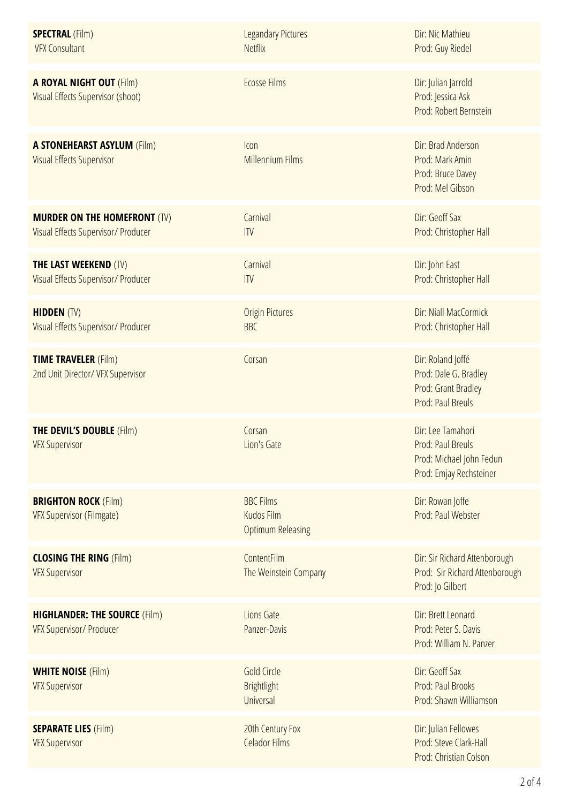| <b>SPECTRAL (Film)</b><br><b>VFX Consultant</b>                            | <b>Legandary Pictures</b><br><b>Netflix</b>                       | Dir: Nic Mathieu<br>Prod: Guy Riedel                                                          |
|----------------------------------------------------------------------------|-------------------------------------------------------------------|-----------------------------------------------------------------------------------------------|
| <b>A ROYAL NIGHT OUT (Film)</b><br>Visual Effects Supervisor (shoot)       | <b>Ecosse Films</b>                                               | Dir: Julian Jarrold<br>Prod: Jessica Ask<br>Prod: Robert Bernstein                            |
| <b>A STONEHEARST ASYLUM (Film)</b><br><b>Visual Effects Supervisor</b>     | Icon<br><b>Millennium Films</b>                                   | Dir: Brad Anderson<br>Prod: Mark Amin<br>Prod: Bruce Davey<br>Prod: Mel Gibson                |
| <b>MURDER ON THE HOMEFRONT (TV)</b><br>Visual Effects Supervisor/ Producer | Carnival<br>ITV                                                   | Dir: Geoff Sax<br>Prod: Christopher Hall                                                      |
| <b>THE LAST WEEKEND (TV)</b><br>Visual Effects Supervisor/ Producer        | Carnival<br>ITV                                                   | Dir: John East<br>Prod: Christopher Hall                                                      |
| <b>HIDDEN (TV)</b><br>Visual Effects Supervisor/ Producer                  | <b>Origin Pictures</b><br><b>BBC</b>                              | Dir: Niall MacCormick<br>Prod: Christopher Hall                                               |
| <b>TIME TRAVELER (Film)</b><br>2nd Unit Director/ VFX Supervisor           | Corsan                                                            | Dir: Roland Joffé<br>Prod: Dale G. Bradley<br>Prod: Grant Bradley<br>Prod: Paul Breuls        |
| <b>THE DEVIL'S DOUBLE (Film)</b><br><b>VFX Supervisor</b>                  | Corsan<br>Lion's Gate                                             | Dir: Lee Tamahori<br>Prod: Paul Breuls<br>Prod: Michael John Fedun<br>Prod: Emjay Rechsteiner |
| <b>BRIGHTON ROCK (Film)</b><br><b>VFX Supervisor (Filmgate)</b>            | <b>BBC Films</b><br><b>Kudos Film</b><br><b>Optimum Releasing</b> | Dir: Rowan Joffe<br>Prod: Paul Webster                                                        |
| <b>CLOSING THE RING (Film)</b><br><b>VFX Supervisor</b>                    | ContentFilm<br>The Weinstein Company                              | Dir: Sir Richard Attenborough<br>Prod: Sir Richard Attenborough<br>Prod: Jo Gilbert           |
| <b>HIGHLANDER: THE SOURCE (Film)</b><br><b>VFX Supervisor/ Producer</b>    | Lions Gate<br>Panzer-Davis                                        | Dir: Brett Leonard<br>Prod: Peter S. Davis<br>Prod: William N. Panzer                         |
| <b>WHITE NOISE (Film)</b><br><b>VFX Supervisor</b>                         | <b>Gold Circle</b><br><b>Brightlight</b><br>Universal             | Dir: Geoff Sax<br>Prod: Paul Brooks<br>Prod: Shawn Williamson                                 |
| <b>SEPARATE LIES (Film)</b><br><b>VFX Supervisor</b>                       | 20th Century Fox<br><b>Celador Films</b>                          | Dir: Julian Fellowes<br>Prod: Steve Clark-Hall<br>Prod: Christian Colson                      |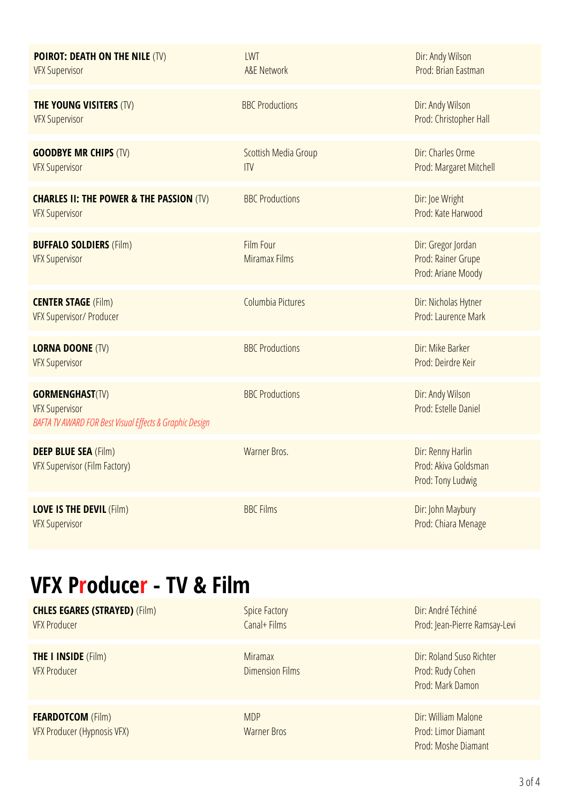| <b>POIROT: DEATH ON THE NILE (TV)</b><br><b>VFX Supervisor</b>                                             | LWT<br><b>A&amp;E Network</b>     | Dir: Andy Wilson<br>Prod: Brian Eastman                        |
|------------------------------------------------------------------------------------------------------------|-----------------------------------|----------------------------------------------------------------|
| <b>THE YOUNG VISITERS (TV)</b><br><b>VFX Supervisor</b>                                                    | <b>BBC Productions</b>            | Dir: Andy Wilson<br>Prod: Christopher Hall                     |
| <b>GOODBYE MR CHIPS (TV)</b><br><b>VFX Supervisor</b>                                                      | Scottish Media Group<br>ITV       | Dir: Charles Orme<br>Prod: Margaret Mitchell                   |
| <b>CHARLES II: THE POWER &amp; THE PASSION (TV)</b><br><b>VFX Supervisor</b>                               | <b>BBC Productions</b>            | Dir: Joe Wright<br>Prod: Kate Harwood                          |
| <b>BUFFALO SOLDIERS (Film)</b><br><b>VFX Supervisor</b>                                                    | Film Four<br><b>Miramax Films</b> | Dir: Gregor Jordan<br>Prod: Rainer Grupe<br>Prod: Ariane Moody |
| <b>CENTER STAGE (Film)</b><br>VFX Supervisor/ Producer                                                     | Columbia Pictures                 | Dir: Nicholas Hytner<br>Prod: Laurence Mark                    |
| <b>LORNA DOONE (TV)</b><br><b>VFX Supervisor</b>                                                           | <b>BBC Productions</b>            | Dir: Mike Barker<br>Prod: Deirdre Keir                         |
| <b>GORMENGHAST(TV)</b><br><b>VFX Supervisor</b><br>BAFTA TV AWARD FOR Best Visual Effects & Graphic Design | <b>BBC Productions</b>            | Dir: Andy Wilson<br>Prod: Estelle Daniel                       |
| <b>DEEP BLUE SEA (Film)</b><br>VFX Supervisor (Film Factory)                                               | Warner Bros.                      | Dir: Renny Harlin<br>Prod: Akiva Goldsman<br>Prod: Tony Ludwig |
| <b>LOVE IS THE DEVIL (Film)</b><br><b>VFX Supervisor</b>                                                   | <b>BBC Films</b>                  | Dir: John Maybury<br>Prod: Chiara Menage                       |

## **VFX Producer - TV & Film**

| <b>CHLES EGARES (STRAYED) (Film)</b><br><b>VFX Producer</b> | <b>Spice Factory</b><br>Canal+ Films     | Dir: André Téchiné<br>Prod: Jean-Pierre Ramsay-Levi               |
|-------------------------------------------------------------|------------------------------------------|-------------------------------------------------------------------|
| <b>THE I INSIDE (Film)</b><br><b>VFX Producer</b>           | <b>Miramax</b><br><b>Dimension Films</b> | Dir: Roland Suso Richter<br>Prod: Rudy Cohen<br>Prod: Mark Damon  |
| <b>FEARDOTCOM (Film)</b><br>VFX Producer (Hypnosis VFX)     | <b>MDP</b><br><b>Warner Bros</b>         | Dir: William Malone<br>Prod: Limor Diamant<br>Prod: Moshe Diamant |